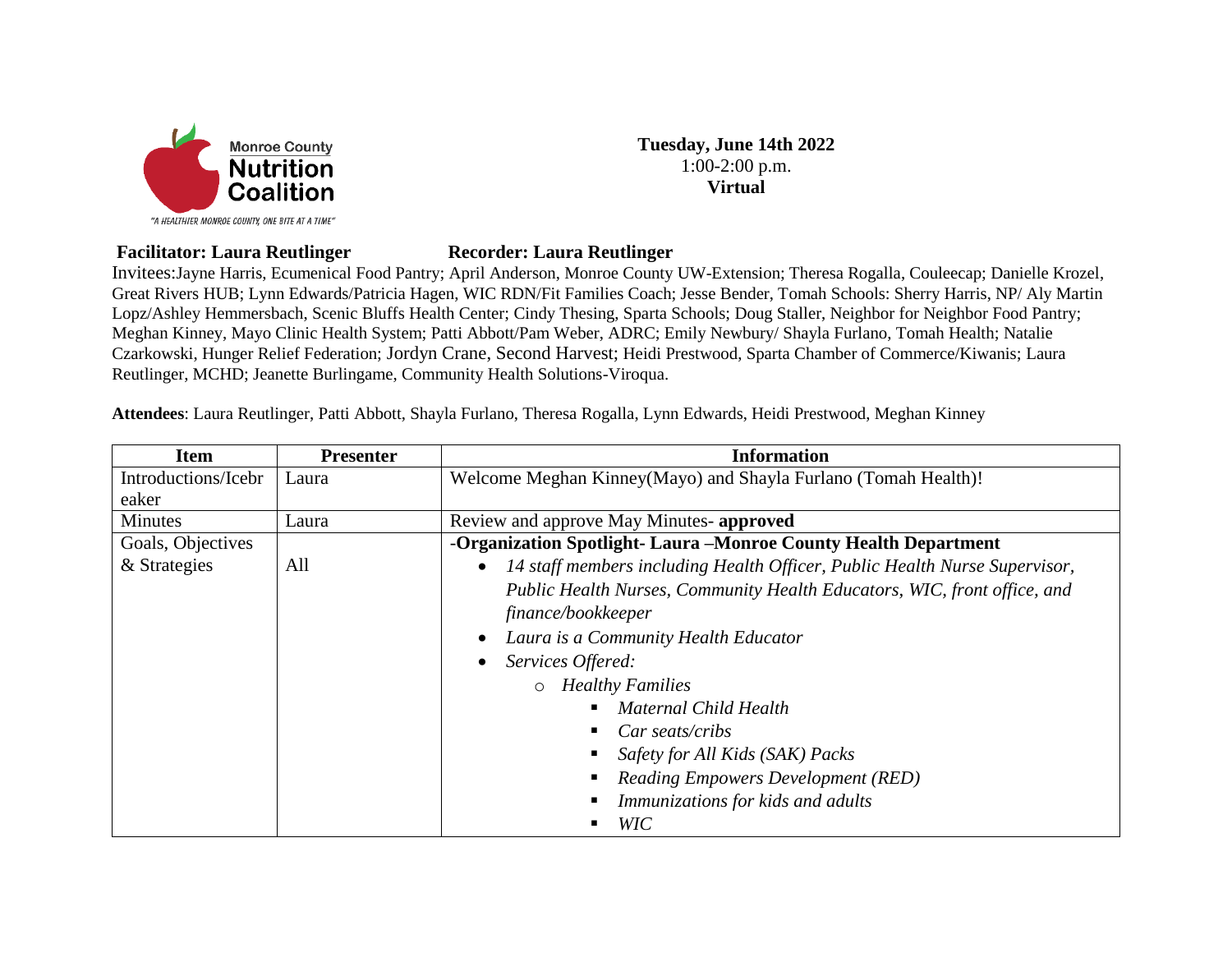

**Tuesday, June 14th 2022** 1:00-2:00 p.m. **Virtual**

## **Facilitator: Laura Reutlinger Recorder: Laura Reutlinger**

Invitees:Jayne Harris, Ecumenical Food Pantry; April Anderson, Monroe County UW-Extension; Theresa Rogalla, Couleecap; Danielle Krozel, Great Rivers HUB; Lynn Edwards/Patricia Hagen, WIC RDN/Fit Families Coach; Jesse Bender, Tomah Schools: Sherry Harris, NP/ Aly Martin Lopz/Ashley Hemmersbach, Scenic Bluffs Health Center; Cindy Thesing, Sparta Schools; Doug Staller, Neighbor for Neighbor Food Pantry; Meghan Kinney, Mayo Clinic Health System; Patti Abbott/Pam Weber, ADRC; Emily Newbury/ Shayla Furlano, Tomah Health; Natalie Czarkowski, Hunger Relief Federation; Jordyn Crane, Second Harvest; Heidi Prestwood, Sparta Chamber of Commerce/Kiwanis; Laura Reutlinger, MCHD; Jeanette Burlingame, Community Health Solutions-Viroqua.

**Attendees**: Laura Reutlinger, Patti Abbott, Shayla Furlano, Theresa Rogalla, Lynn Edwards, Heidi Prestwood, Meghan Kinney

| <b>Item</b>         | <b>Presenter</b> | <b>Information</b>                                                                      |
|---------------------|------------------|-----------------------------------------------------------------------------------------|
| Introductions/Icebr | Laura            | Welcome Meghan Kinney(Mayo) and Shayla Furlano (Tomah Health)!                          |
| eaker               |                  |                                                                                         |
| <b>Minutes</b>      | Laura            | Review and approve May Minutes- approved                                                |
| Goals, Objectives   |                  | -Organization Spotlight-Laura -Monroe County Health Department                          |
| & Strategies        | All              | 14 staff members including Health Officer, Public Health Nurse Supervisor,<br>$\bullet$ |
|                     |                  | Public Health Nurses, Community Health Educators, WIC, front office, and                |
|                     |                  | finance/bookkeeper                                                                      |
|                     |                  | Laura is a Community Health Educator<br>$\bullet$                                       |
|                     |                  | Services Offered:<br>$\bullet$                                                          |
|                     |                  | o Healthy Families                                                                      |
|                     |                  | Maternal Child Health                                                                   |
|                     |                  | Car seats/cribs                                                                         |
|                     |                  | Safety for All Kids (SAK) Packs                                                         |
|                     |                  | <b>Reading Empowers Development (RED)</b>                                               |
|                     |                  | Immunizations for kids and adults                                                       |
|                     |                  | <b>WIC</b>                                                                              |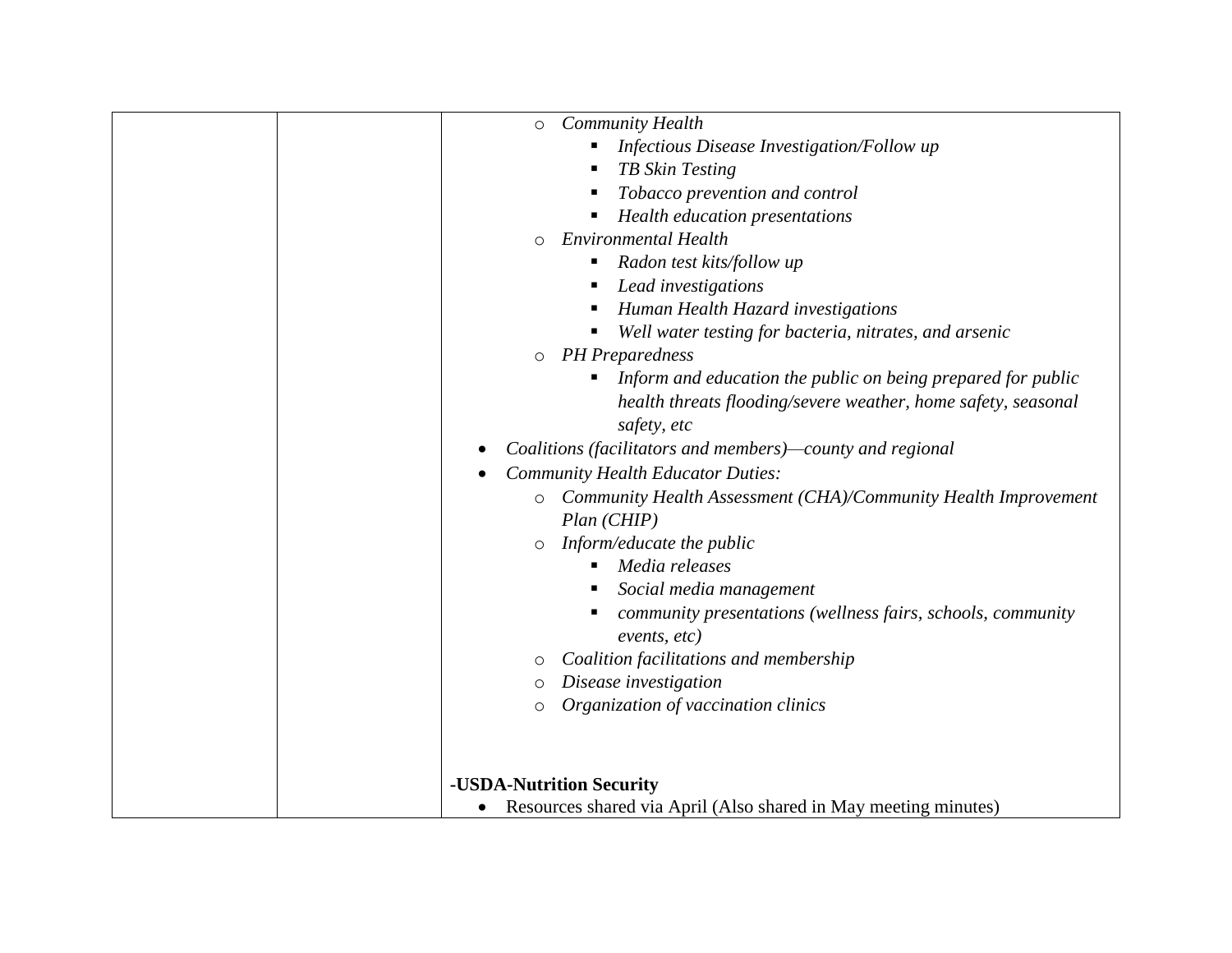| $\circ$   | <b>Community Health</b>                                           |
|-----------|-------------------------------------------------------------------|
|           | Infectious Disease Investigation/Follow up                        |
|           | TB Skin Testing<br>п                                              |
|           |                                                                   |
|           | Tobacco prevention and control                                    |
|           | Health education presentations                                    |
| $\circ$   | <b>Environmental Health</b>                                       |
|           | Radon test kits/follow up<br>Е                                    |
|           | Lead investigations<br>п                                          |
|           | Human Health Hazard investigations<br>Е                           |
|           | Well water testing for bacteria, nitrates, and arsenic<br>Е       |
| $\circ$   | <b>PH</b> Preparedness                                            |
|           | Inform and education the public on being prepared for public<br>п |
|           | health threats flooding/severe weather, home safety, seasonal     |
|           | safety, etc                                                       |
|           | Coalitions (facilitators and members)—county and regional         |
| $\bullet$ | <b>Community Health Educator Duties:</b>                          |
| $\circ$   | Community Health Assessment (CHA)/Community Health Improvement    |
|           | Plan (CHIP)                                                       |
| $\circ$   | Inform/educate the public                                         |
|           | Media releases                                                    |
|           | Social media management<br>Е                                      |
|           | community presentations (wellness fairs, schools, community       |
|           | events, etc)                                                      |
| O         | Coalition facilitations and membership                            |
| $\circ$   | Disease investigation                                             |
| $\circ$   | Organization of vaccination clinics                               |
|           |                                                                   |
|           |                                                                   |
|           |                                                                   |
|           | -USDA-Nutrition Security                                          |
| $\bullet$ | Resources shared via April (Also shared in May meeting minutes)   |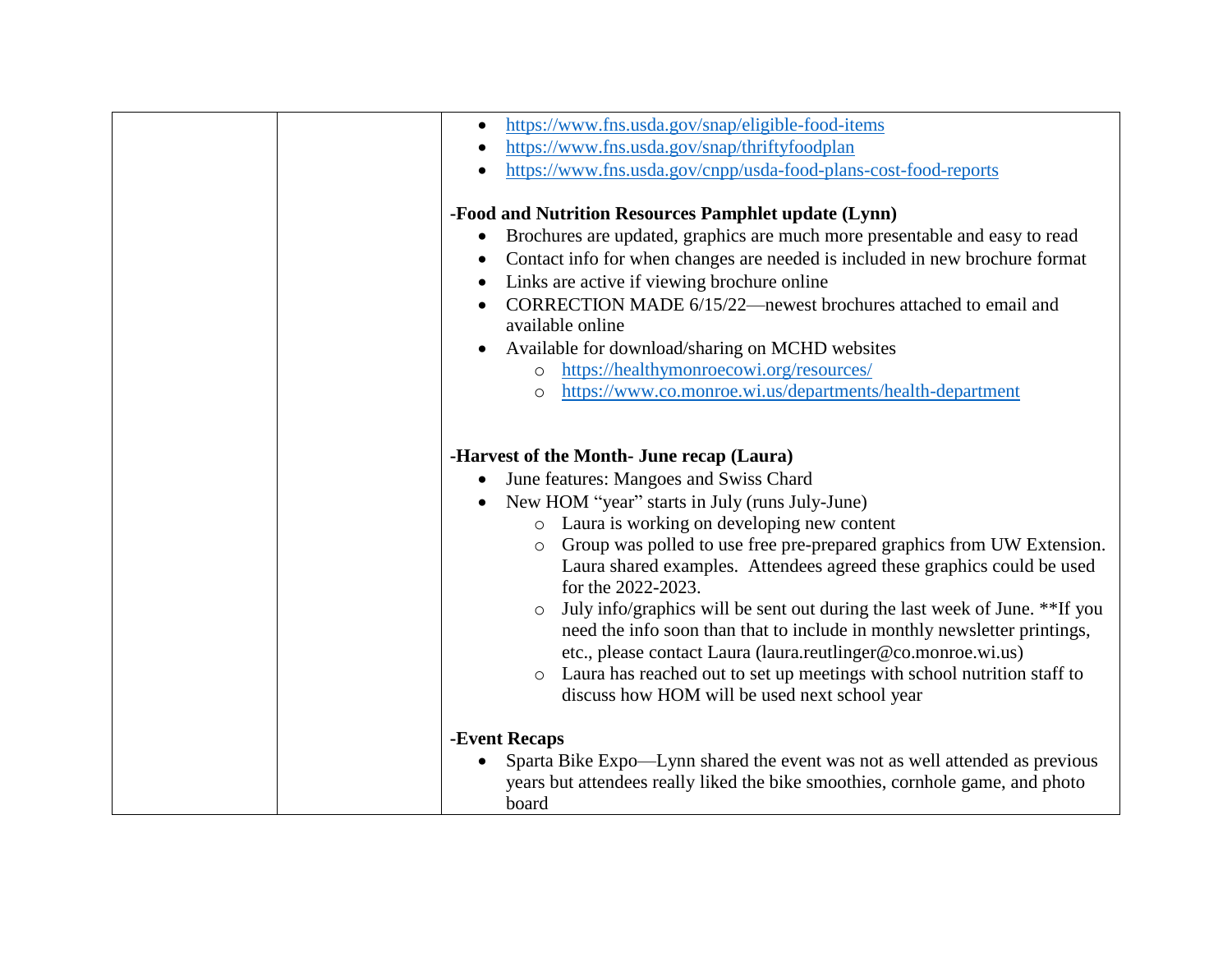| https://www.fns.usda.gov/snap/eligible-food-items<br>$\bullet$                           |
|------------------------------------------------------------------------------------------|
| https://www.fns.usda.gov/snap/thriftyfoodplan<br>$\bullet$                               |
| https://www.fns.usda.gov/cnpp/usda-food-plans-cost-food-reports                          |
| -Food and Nutrition Resources Pamphlet update (Lynn)                                     |
| Brochures are updated, graphics are much more presentable and easy to read<br>$\bullet$  |
| Contact info for when changes are needed is included in new brochure format<br>$\bullet$ |
| Links are active if viewing brochure online<br>$\bullet$                                 |
| CORRECTION MADE 6/15/22—newest brochures attached to email and                           |
| available online                                                                         |
| Available for download/sharing on MCHD websites<br>$\bullet$                             |
| https://healthymonroecowi.org/resources/<br>$\circ$                                      |
| https://www.co.monroe.wi.us/departments/health-department<br>$\circ$                     |
|                                                                                          |
|                                                                                          |
| -Harvest of the Month- June recap (Laura)                                                |
| June features: Mangoes and Swiss Chard<br>$\bullet$                                      |
| New HOM "year" starts in July (runs July-June)<br>$\bullet$                              |
| o Laura is working on developing new content                                             |
| Group was polled to use free pre-prepared graphics from UW Extension.<br>$\circ$         |
| Laura shared examples. Attendees agreed these graphics could be used                     |
| for the 2022-2023.                                                                       |
| July info/graphics will be sent out during the last week of June. **If you<br>$\circ$    |
| need the info soon than that to include in monthly newsletter printings,                 |
| etc., please contact Laura (laura.reutlinger@co.monroe.wi.us)                            |
| o Laura has reached out to set up meetings with school nutrition staff to                |
| discuss how HOM will be used next school year                                            |
|                                                                                          |
| -Event Recaps                                                                            |
| Sparta Bike Expo—Lynn shared the event was not as well attended as previous              |
| years but attendees really liked the bike smoothies, cornhole game, and photo            |
| board                                                                                    |
|                                                                                          |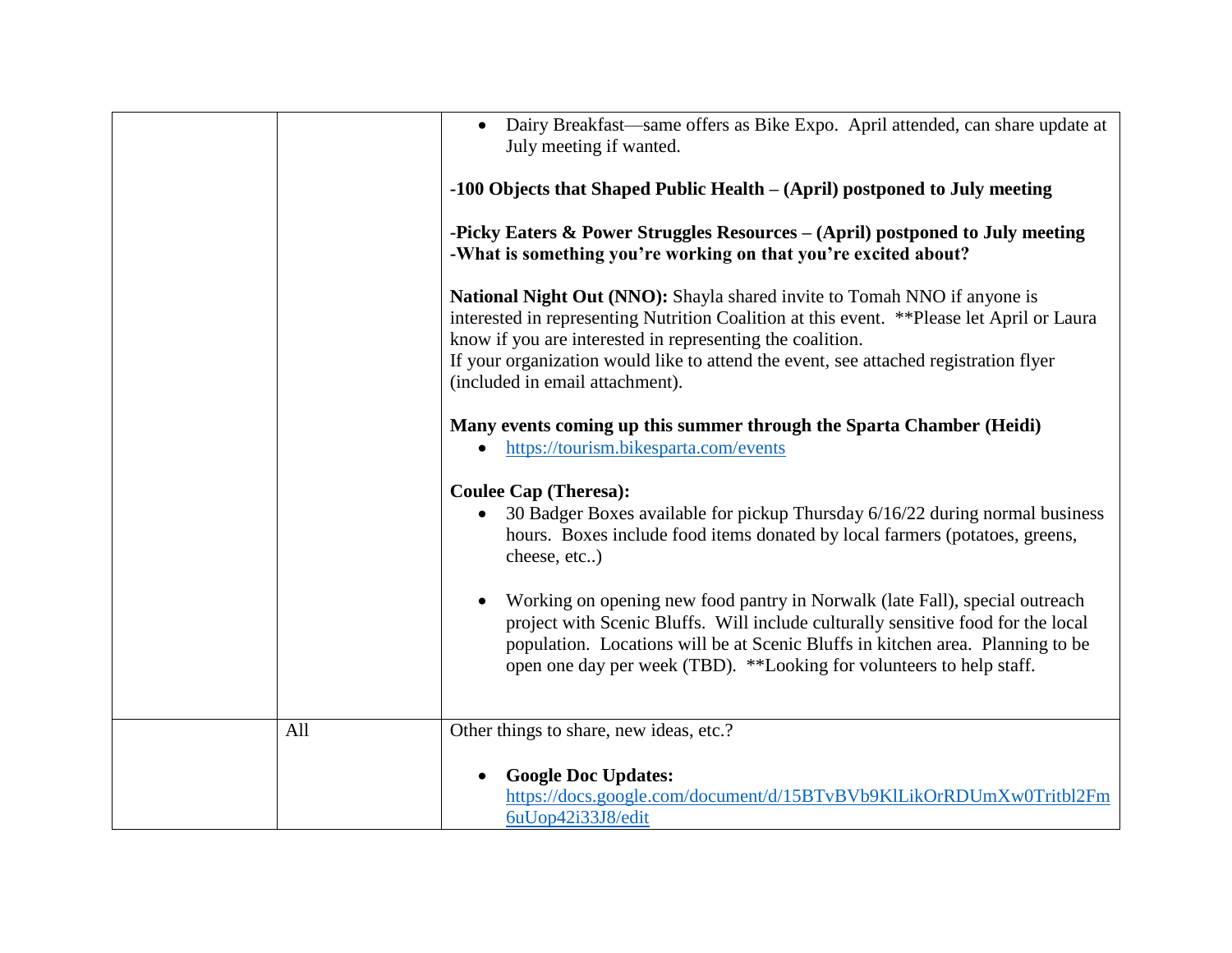|     | Dairy Breakfast—same offers as Bike Expo. April attended, can share update at<br>July meeting if wanted.<br>-100 Objects that Shaped Public Health – (April) postponed to July meeting<br>-Picky Eaters & Power Struggles Resources – (April) postponed to July meeting<br>-What is something you're working on that you're excited about?<br>National Night Out (NNO): Shayla shared invite to Tomah NNO if anyone is<br>interested in representing Nutrition Coalition at this event. ** Please let April or Laura<br>know if you are interested in representing the coalition.<br>If your organization would like to attend the event, see attached registration flyer<br>(included in email attachment).<br>Many events coming up this summer through the Sparta Chamber (Heidi)<br>https://tourism.bikesparta.com/events<br>$\bullet$<br><b>Coulee Cap (Theresa):</b><br>30 Badger Boxes available for pickup Thursday 6/16/22 during normal business<br>hours. Boxes include food items donated by local farmers (potatoes, greens,<br>cheese, etc)<br>Working on opening new food pantry in Norwalk (late Fall), special outreach<br>project with Scenic Bluffs. Will include culturally sensitive food for the local<br>population. Locations will be at Scenic Bluffs in kitchen area. Planning to be<br>open one day per week (TBD). **Looking for volunteers to help staff. |
|-----|----------------------------------------------------------------------------------------------------------------------------------------------------------------------------------------------------------------------------------------------------------------------------------------------------------------------------------------------------------------------------------------------------------------------------------------------------------------------------------------------------------------------------------------------------------------------------------------------------------------------------------------------------------------------------------------------------------------------------------------------------------------------------------------------------------------------------------------------------------------------------------------------------------------------------------------------------------------------------------------------------------------------------------------------------------------------------------------------------------------------------------------------------------------------------------------------------------------------------------------------------------------------------------------------------------------------------------------------------------------------------------------|
| All | Other things to share, new ideas, etc.?                                                                                                                                                                                                                                                                                                                                                                                                                                                                                                                                                                                                                                                                                                                                                                                                                                                                                                                                                                                                                                                                                                                                                                                                                                                                                                                                                |
|     | <b>Google Doc Updates:</b><br>https://docs.google.com/document/d/15BTvBVb9KlLikOrRDUmXw0Tritbl2Fm<br>6uUop42i33J8/edit                                                                                                                                                                                                                                                                                                                                                                                                                                                                                                                                                                                                                                                                                                                                                                                                                                                                                                                                                                                                                                                                                                                                                                                                                                                                 |